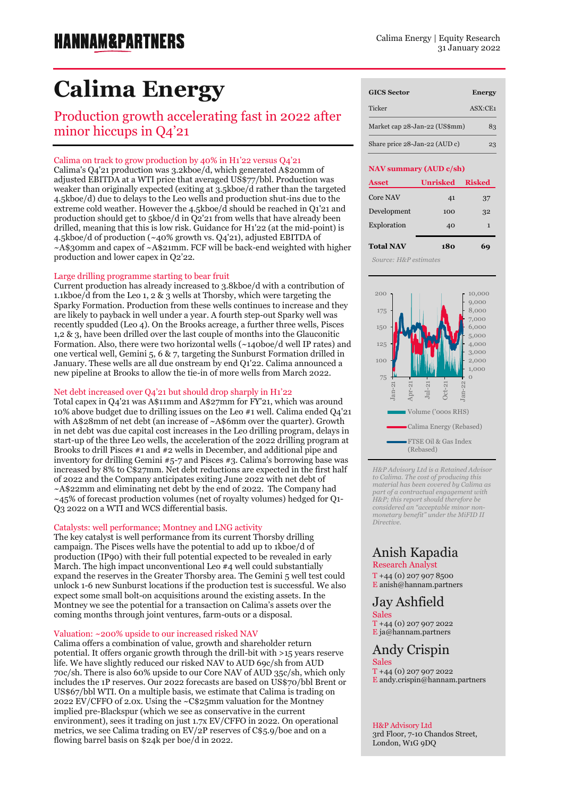# **Calima Energy**

## Production growth accelerating fast in 2022 after minor hiccups in Q4'21

## Calima on track to grow production by 40% in H1'22 versus Q4'21

Calima's Q4'21 production was 3.2kboe/d, which generated A\$20mm of adjusted EBITDA at a WTI price that averaged US\$77/bbl. Production was weaker than originally expected (exiting at 3.5kboe/d rather than the targeted 4.5kboe/d) due to delays to the Leo wells and production shut-ins due to the extreme cold weather. However the 4.5kboe/d should be reached in Q1'21 and production should get to 5kboe/d in Q2'21 from wells that have already been drilled, meaning that this is low risk. Guidance for H1'22 (at the mid-point) is 4.5kboe/d of production (~40% growth vs. Q4'21), adjusted EBITDA of ~A\$30mm and capex of ~A\$21mm. FCF will be back-end weighted with higher production and lower capex in Q2'22.

### Large drilling programme starting to bear fruit

Current production has already increased to 3.8kboe/d with a contribution of 1.1kboe/d from the Leo 1, 2 & 3 wells at Thorsby, which were targeting the Sparky Formation. Production from these wells continues to increase and they are likely to payback in well under a year. A fourth step-out Sparky well was recently spudded (Leo 4). On the Brooks acreage, a further three wells, Pisces 1,2 & 3, have been drilled over the last couple of months into the Glauconitic Formation. Also, there were two horizontal wells (~140boe/d well IP rates) and one vertical well, Gemini 5, 6 & 7, targeting the Sunburst Formation drilled in January. These wells are all due onstream by end Q1'22. Calima announced a new pipeline at Brooks to allow the tie-in of more wells from March 2022.

### Net debt increased over Q4'21 but should drop sharply in H1'22

Total capex in Q4'21 was A\$11mm and A\$27mm for FY'21, which was around 10% above budget due to drilling issues on the Leo #1 well. Calima ended Q4'21 with A\$28mm of net debt (an increase of ~A\$6mm over the quarter). Growth in net debt was due capital cost increases in the Leo drilling program, delays in start-up of the three Leo wells, the acceleration of the 2022 drilling program at Brooks to drill Pisces #1 and #2 wells in December, and additional pipe and inventory for drilling Gemini #5-7 and Pisces #3. Calima's borrowing base was increased by 8% to C\$27mm. Net debt reductions are expected in the first half of 2022 and the Company anticipates exiting June 2022 with net debt of ~A\$22mm and eliminating net debt by the end of 2022. The Company had ~45% of forecast production volumes (net of royalty volumes) hedged for Q1- Q3 2022 on a WTI and WCS differential basis.

## Catalysts: well performance; Montney and LNG activity

The key catalyst is well performance from its current Thorsby drilling campaign. The Pisces wells have the potential to add up to 1kboe/d of production (IP90) with their full potential expected to be revealed in early March. The high impact unconventional Leo  $#4$  well could substantially expand the reserves in the Greater Thorsby area. The Gemini 5 well test could unlock 1-6 new Sunburst locations if the production test is successful. We also expect some small bolt-on acquisitions around the existing assets. In the Montney we see the potential for a transaction on Calima's assets over the coming months through joint ventures, farm-outs or a disposal.

## Valuation: ~200% upside to our increased risked NAV

Calima offers a combination of value, growth and shareholder return potential. It offers organic growth through the drill-bit with >15 years reserve life. We have slightly reduced our risked NAV to AUD 69c/sh from AUD 70c/sh. There is also 60% upside to our Core NAV of AUD 35c/sh, which only includes the 1P reserves. Our 2022 forecasts are based on US\$70/bbl Brent or US\$67/bbl WTI. On a multiple basis, we estimate that Calima is trading on 2022 EV/CFFO of 2.0x. Using the ~C\$25mm valuation for the Montney implied pre-Blackspur (which we see as conservative in the current environment), sees it trading on just 1.7x EV/CFFO in 2022. On operational metrics, we see Calima trading on EV/2P reserves of C\$5.9/boe and on a flowing barrel basis on \$24k per boe/d in 2022.

| <b>GICS Sector</b>            | <b>Energy</b>                       |
|-------------------------------|-------------------------------------|
| Ticker                        | $\overline{ASX}$ : $\overline{CE1}$ |
| Market cap 28-Jan-22 (US\$mm) | 83                                  |
| Share price 28-Jan-22 (AUD c) | 23                                  |

#### **NAV summary (AUD c/sh)**

| <b>Asset</b>     | <b>Unrisked</b> | <b>Risked</b> |
|------------------|-----------------|---------------|
| Core NAV         | 41              | 37            |
| Development      | 100             | 32            |
| Exploration      | 40              | 1             |
| <b>Total NAV</b> | 180             |               |

Exploration 114 1  *Source: H&P estimates*



*H&P Advisory Ltd is a Retained Advisor to Calima. The cost of producing this material has been covered by Calima as part of a contractual engagement with H&P; this report should therefore be considered an "acceptable minor nonmonetary benefit" under the MiFID II Directive.*

## Anish Kapadia

Research Analyst

 $T + 44 (0) 207 907 8500$ E [anish@hannam.partners](mailto:anish@hannam.partners)

## Jay Ashfield

Sales T +44 (0) 207 907 2022 E ja@hannam.partners

## Andy Crispin

Sales T +44 (0) 207 907 2022 E andy.crispin@hannam.partners

## H&P Advisory Ltd

3rd Floor, 7-10 Chandos Street, London, W1G 9DQ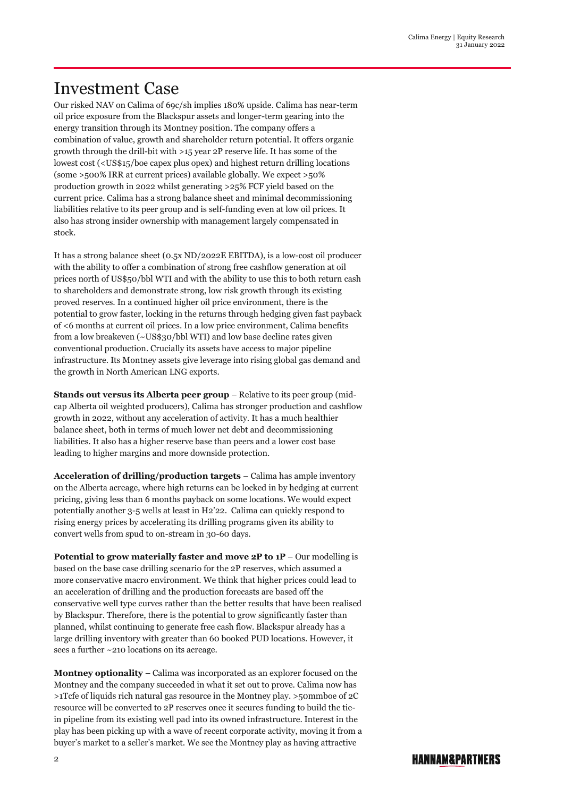## Investment Case

Our risked NAV on Calima of 69c/sh implies 180% upside. Calima has near-term oil price exposure from the Blackspur assets and longer-term gearing into the energy transition through its Montney position. The company offers a combination of value, growth and shareholder return potential. It offers organic growth through the drill-bit with >15 year 2P reserve life. It has some of the lowest cost (<US\$15/boe capex plus opex) and highest return drilling locations (some >500% IRR at current prices) available globally. We expect >50% production growth in 2022 whilst generating >25% FCF yield based on the current price. Calima has a strong balance sheet and minimal decommissioning liabilities relative to its peer group and is self-funding even at low oil prices. It also has strong insider ownership with management largely compensated in stock.

It has a strong balance sheet (0.5x ND/2022E EBITDA), is a low-cost oil producer with the ability to offer a combination of strong free cashflow generation at oil prices north of US\$50/bbl WTI and with the ability to use this to both return cash to shareholders and demonstrate strong, low risk growth through its existing proved reserves. In a continued higher oil price environment, there is the potential to grow faster, locking in the returns through hedging given fast payback of <6 months at current oil prices. In a low price environment, Calima benefits from a low breakeven (~US\$30/bbl WTI) and low base decline rates given conventional production. Crucially its assets have access to major pipeline infrastructure. Its Montney assets give leverage into rising global gas demand and the growth in North American LNG exports.

**Stands out versus its Alberta peer group** – Relative to its peer group (midcap Alberta oil weighted producers), Calima has stronger production and cashflow growth in 2022, without any acceleration of activity. It has a much healthier balance sheet, both in terms of much lower net debt and decommissioning liabilities. It also has a higher reserve base than peers and a lower cost base leading to higher margins and more downside protection.

**Acceleration of drilling/production targets** – Calima has ample inventory on the Alberta acreage, where high returns can be locked in by hedging at current pricing, giving less than 6 months payback on some locations. We would expect potentially another 3-5 wells at least in H2'22. Calima can quickly respond to rising energy prices by accelerating its drilling programs given its ability to convert wells from spud to on-stream in 30-60 days.

**Potential to grow materially faster and move 2P to 1P** – Our modelling is based on the base case drilling scenario for the 2P reserves, which assumed a more conservative macro environment. We think that higher prices could lead to an acceleration of drilling and the production forecasts are based off the conservative well type curves rather than the better results that have been realised by Blackspur. Therefore, there is the potential to grow significantly faster than planned, whilst continuing to generate free cash flow. Blackspur already has a large drilling inventory with greater than 60 booked PUD locations. However, it sees a further ~210 locations on its acreage.

**Montney optionality** – Calima was incorporated as an explorer focused on the Montney and the company succeeded in what it set out to prove. Calima now has >1Tcfe of liquids rich natural gas resource in the Montney play. >50mmboe of 2C resource will be converted to 2P reserves once it secures funding to build the tiein pipeline from its existing well pad into its owned infrastructure. Interest in the play has been picking up with a wave of recent corporate activity, moving it from a buyer's market to a seller's market. We see the Montney play as having attractive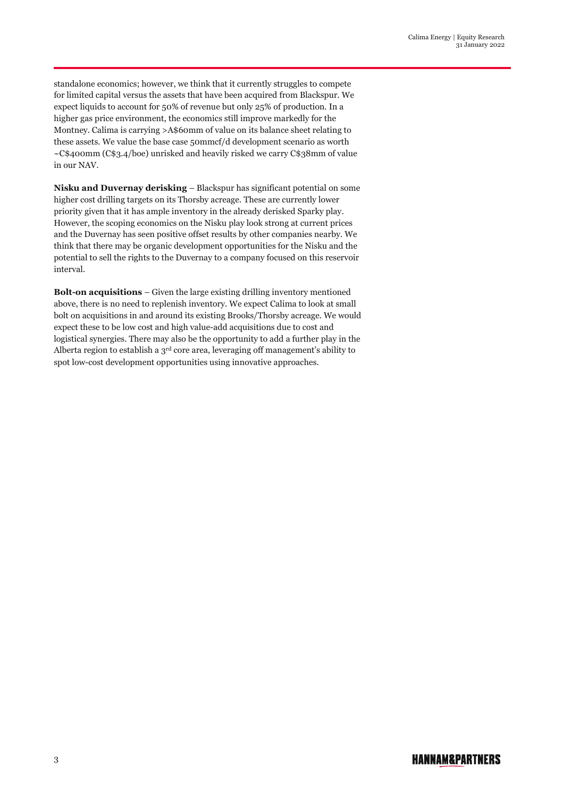standalone economics; however, we think that it currently struggles to compete for limited capital versus the assets that have been acquired from Blackspur. We expect liquids to account for 50% of revenue but only 25% of production. In a higher gas price environment, the economics still improve markedly for the Montney. Calima is carrying >A\$60mm of value on its balance sheet relating to these assets. We value the base case 50mmcf/d development scenario as worth ~C\$400mm (C\$3.4/boe) unrisked and heavily risked we carry C\$38mm of value in our NAV.

**Nisku and Duvernay derisking** – Blackspur has significant potential on some higher cost drilling targets on its Thorsby acreage. These are currently lower priority given that it has ample inventory in the already derisked Sparky play. However, the scoping economics on the Nisku play look strong at current prices and the Duvernay has seen positive offset results by other companies nearby. We think that there may be organic development opportunities for the Nisku and the potential to sell the rights to the Duvernay to a company focused on this reservoir interval.

**Bolt-on acquisitions** – Given the large existing drilling inventory mentioned above, there is no need to replenish inventory. We expect Calima to look at small bolt on acquisitions in and around its existing Brooks/Thorsby acreage. We would expect these to be low cost and high value-add acquisitions due to cost and logistical synergies. There may also be the opportunity to add a further play in the Alberta region to establish a  $3<sup>rd</sup>$  core area, leveraging off management's ability to spot low-cost development opportunities using innovative approaches.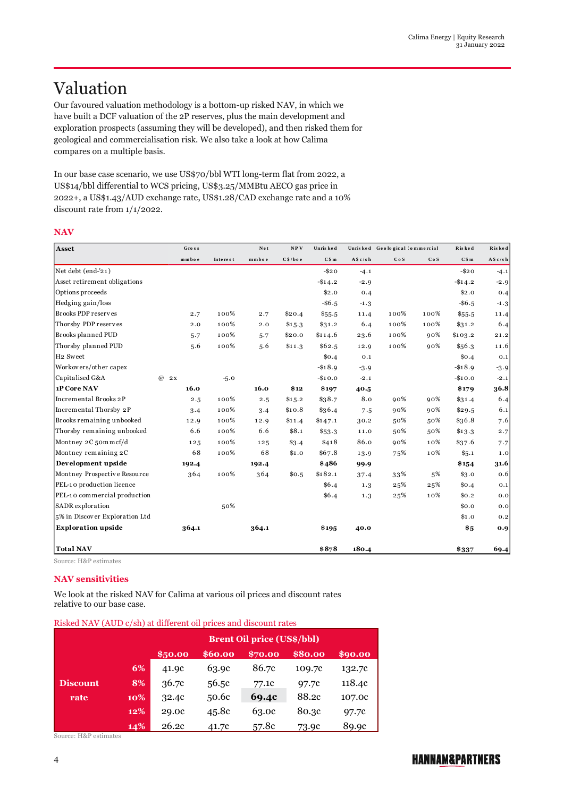## Valuation

Our favoured valuation methodology is a bottom-up risked NAV, in which we have built a DCF valuation of the 2P reserves, plus the main development and exploration prospects (assuming they will be developed), and then risked them for geological and commercialisation risk. We also take a look at how Calima compares on a multiple basis.

In our base case scenario, we use US\$70/bbl WTI long-term flat from 2022, a US\$14/bbl differential to WCS pricing, US\$3.25/MMBtu AECO gas price in 2022+, a US\$1.43/AUD exchange rate, US\$1.28/CAD exchange rate and a 10% discount rate from 1/1/2022.

## **NAV**

| Asset                          | Gro s s        |          | Net   | NPV     | Unris ked |            | Unrisked Geological 'ommercial |      | Risked     | Risked    |
|--------------------------------|----------------|----------|-------|---------|-----------|------------|--------------------------------|------|------------|-----------|
|                                | mmboe          | Interest | mmboe | C\$/boe | C\$m      | A \$ c/s h | CoS                            | CoS  | C\$m       | A \$c/s h |
| Net debt (end-'21)             |                |          |       |         | $-$ \$20  | $-4.1$     |                                |      | $-$ \$20   | $-4.1$    |
| Asset retirement obligations   |                |          |       |         | $-$14.2$  | $-2.9$     |                                |      | $-$ \$14.2 | $-2.9$    |
| Options proceeds               |                |          |       |         | \$2.0     | 0.4        |                                |      | \$2.0      | 0.4       |
| Hedging gain/loss              |                |          |       |         | $-$ \$6.5 | $-1.3$     |                                |      | $-$ \$6.5  | $-1.3$    |
| Brooks PDP reserves            | 2.7            | 100%     | 2.7   | \$20.4  | \$55.5    | 11.4       | 100%                           | 100% | \$55.5     | 11.4      |
| Thorsby PDP reserves           | 2.0            | 100%     | 2.0   | \$15.3  | \$31.2    | 6.4        | 100%                           | 100% | \$31.2     | 6.4       |
| Brooks planned PUD             | 5.7            | 100%     | 5.7   | \$20.0  | \$114.6   | 23.6       | 100%                           | 90%  | \$103.2    | 21.2      |
| Thorsby planned PUD            | 5.6            | 100%     | 5.6   | \$11.3  | \$62.5    | 12.9       | 100%                           | 90%  | \$56.3     | 11.6      |
| H <sub>2</sub> Sweet           |                |          |       |         | \$0.4\$   | 0.1        |                                |      | \$0.4      | 0.1       |
| Workovers/other capex          |                |          |       |         | $-$18.9$  | $-3.9$     |                                |      | $-$18.9$   | $-3.9$    |
| Capitalised G&A                | $\omega$<br>2x | $-5.0$   |       |         | $-$10.0$  | $-2.1$     |                                |      | $-$10.0$   | $-2.1$    |
| 1P Core NAV                    | 16.0           |          | 16.0  | \$12    | \$197     | 40.5       |                                |      | \$179      | 36.8      |
| Incremental Brooks 2P          | 2.5            | 100%     | 2.5   | \$15.2  | \$38.7    | 8.0        | 90%                            | 90%  | \$31.4     | 6.4       |
| Incremental Thorsby 2P         | 3.4            | 100%     | 3.4   | \$10.8  | \$36.4    | 7.5        | 90%                            | 90%  | \$29.5     | 6.1       |
| Brooks remaining unbooked      | 12.9           | 100%     | 12.9  | \$11.4  | \$147.1   | 30.2       | 50%                            | 50%  | \$36.8     | 7.6       |
| Thorsby remaining unbooked     | 6.6            | 100%     | 6.6   | \$8.1   | \$53.3    | 11.0       | 50%                            | 50%  | \$13.3     | 2.7       |
| Montney 2C 50mmcf/d            | 125            | 100%     | 125   | \$3.4   | \$418     | 86.0       | 90%                            | 10%  | \$37.6     | 7.7       |
| Montney remaining 2C           | 68             | 100%     | 68    | \$1.0   | \$67.8    | 13.9       | 75%                            | 10%  | \$5.1      | 1.0       |
| Development upside             | 192.4          |          | 192.4 |         | \$486     | 99.9       |                                |      | \$154      | 31.6      |
| Montney Prospective Resource   | 364            | 100%     | 364   | \$0.5   | \$182.1   | 37.4       | 33%                            | 5%   | \$3.0      | 0.6       |
| PEL-10 production licence      |                |          |       |         | \$6.4     | 1.3        | 25%                            | 25%  | \$0.4      | 0.1       |
| PEL-10 commercial production   |                |          |       |         | \$6.4\$   | 1.3        | 25%                            | 10%  | \$0.2\$    | 0.0       |
| SADR exploration               |                | 50%      |       |         |           |            |                                |      | \$0.0      | 0.0       |
| 5% in Discover Exploration Ltd |                |          |       |         |           |            |                                |      | \$1.0      | 0.2       |
| <b>Exploration upside</b>      | 364.1          |          | 364.1 |         | \$195     | 40.0       |                                |      | \$5        | 0.9       |
| <b>Total NAV</b>               |                |          |       |         | \$878     | 180.4      |                                |      | \$337      | 69.4      |

Source: H&P estimates

## **NAV sensitivities**

We look at the risked NAV for Calima at various oil prices and discount rates relative to our base case.

|  |  |  | Risked NAV (AUD c/sh) at different oil prices and discount rates |
|--|--|--|------------------------------------------------------------------|
|--|--|--|------------------------------------------------------------------|

|                 |     | <b>Brent Oil price (US\$/bbl)</b>                   |       |       |        |        |  |  |  |  |
|-----------------|-----|-----------------------------------------------------|-------|-------|--------|--------|--|--|--|--|
|                 |     | \$80.00<br>\$60.00<br>\$90.00<br>\$50.00<br>\$70.00 |       |       |        |        |  |  |  |  |
|                 | 6%  | 41.9c                                               | 63.9c | 86.7c | 109.7c | 132.7c |  |  |  |  |
| <b>Discount</b> | 8%  | 36.7c                                               | 56.5c | 77.1c | 97.7c  | 118.4c |  |  |  |  |
| rate            | 10% | 32.4c                                               | 50.6c | 69.4c | 88.2c  | 107.0c |  |  |  |  |
|                 | 12% | 29.0c                                               | 45.8c | 63.0c | 80.3c  | 97.7c  |  |  |  |  |
|                 | 14% | 26.2c                                               | 41.7c | 57.8c | 73.9c  | 89.9c  |  |  |  |  |

Source: H&P estimates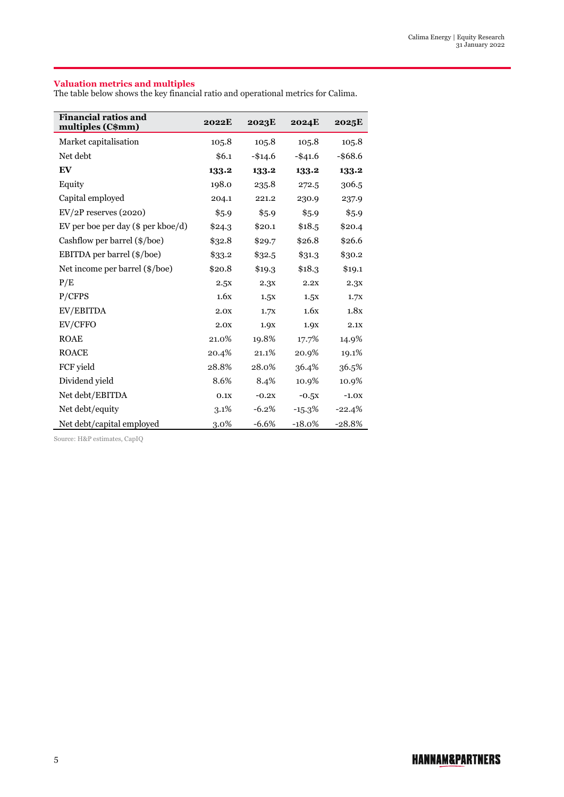### **Valuation metrics and multiples**

The table below shows the key financial ratio and operational metrics for Calima.

| <b>Financial ratios and</b><br>multiples (C\$mm) | <b>2022E</b> | 2023E    | <b>2024E</b> | 2025E      |
|--------------------------------------------------|--------------|----------|--------------|------------|
| Market capitalisation                            | 105.8        | 105.8    | 105.8        | 105.8      |
| Net debt                                         | \$6.1        | $-$14.6$ | $-$ \$41.6   | $-$ \$68.6 |
| EV                                               | 133.2        | 133.2    | 133.2        | 133.2      |
| Equity                                           | 198.0        | 235.8    | 272.5        | 306.5      |
| Capital employed                                 | 204.1        | 221.2    | 230.9        | 237.9      |
| $EV/2P$ reserves (2020)                          | \$5.9        | \$5.9    | \$5.9        | \$5.9      |
| EV per boe per day (\$ per kboe/d)               | \$24.3       | \$20.1   | \$18.5       | \$20.4     |
| Cashflow per barrel (\$/boe)                     | \$32.8       | \$29.7   | \$26.8       | \$26.6     |
| EBITDA per barrel (\$/boe)                       | \$33.2       | \$32.5   | \$31.3       | \$30.2     |
| Net income per barrel (\$/boe)                   | \$20.8       | \$19.3   | \$18.3       | \$19.1     |
| P/E                                              | 2.5x         | 2.3x     | 2.2X         | 2.3x       |
| P/CFPS                                           | 1.6x         | 1.5x     | 1.5X         | 1.7X       |
| EV/EBITDA                                        | 2.0x         | 1.7X     | 1.6x         | 1.8x       |
| EV/CFFO                                          | 2.0x         | 1.9X     | 1.9X         | 2.1X       |
| <b>ROAE</b>                                      | 21.0%        | 19.8%    | 17.7%        | 14.9%      |
| <b>ROACE</b>                                     | 20.4%        | 21.1%    | 20.9%        | 19.1%      |
| FCF yield                                        | 28.8%        | 28.0%    | 36.4%        | 36.5%      |
| Dividend yield                                   | 8.6%         | 8.4%     | 10.9%        | 10.9%      |
| Net debt/EBITDA                                  | 0.1X         | $-0.2x$  | $-0.5x$      | $-1.0x$    |
| Net debt/equity                                  | $3.1\%$      | $-6.2%$  | $-15.3\%$    | $-22.4%$   |
| Net debt/capital employed                        | 3.0%         | $-6.6%$  | $-18.0\%$    | $-28.8%$   |

Source: H&P estimates, CapIQ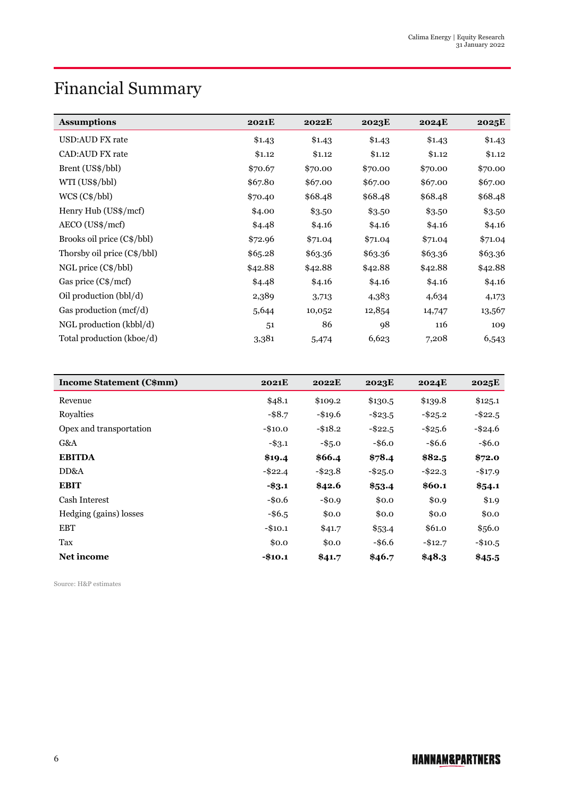## Financial Summary

| <b>Assumptions</b>          | <b>2021E</b> | <b>2022E</b> | 2023E   | <b>2024E</b> | 2025E   |
|-----------------------------|--------------|--------------|---------|--------------|---------|
| USD:AUD FX rate             | \$1.43       | \$1.43       | \$1.43  | \$1.43       | \$1.43  |
| <b>CAD:AUD FX rate</b>      | \$1.12       | \$1.12       | \$1.12  | \$1.12       | \$1.12  |
| Brent (US\$/bbl)            | \$70.67      | \$70.00      | \$70.00 | \$70.00      | \$70.00 |
| WTI (US\$/bbl)              | \$67.80      | \$67.00      | \$67.00 | \$67.00      | \$67.00 |
| $WCS (C\$/bb)$              | \$70.40      | \$68.48      | \$68.48 | \$68.48      | \$68.48 |
| Henry Hub (US\$/mcf)        | \$4.00       | \$3.50       | \$3.50  | \$3.50       | \$3.50  |
| $AECO (US\$/mcf)$           | \$4.48       | \$4.16       | \$4.16  | \$4.16       | \$4.16  |
| Brooks oil price (C\$/bbl)  | \$72.96      | \$71.04      | \$71.04 | \$71.04      | \$71.04 |
| Thorsby oil price (C\$/bbl) | \$65.28      | \$63.36      | \$63.36 | \$63.36      | \$63.36 |
| $NGL$ price $(C\$/bb)$      | \$42.88      | \$42.88      | \$42.88 | \$42.88      | \$42.88 |
| Gas price (C\$/mcf)         | \$4.48       | \$4.16       | \$4.16  | \$4.16       | \$4.16  |
| Oil production (bbl/d)      | 2,389        | 3,713        | 4,383   | 4,634        | 4,173   |
| Gas production (mcf/d)      | 5,644        | 10,052       | 12,854  | 14,747       | 13,567  |
| NGL production (kbbl/d)     | 51           | 86           | 98      | 116          | 109     |
| Total production (kboe/d)   | 3,381        | 5,474        | 6,623   | 7,208        | 6,543   |

| <b>Income Statement (C\$mm)</b> | 2021E      | 2022E      | 2023E      | <b>2024E</b> | 2025E      |
|---------------------------------|------------|------------|------------|--------------|------------|
| Revenue                         | \$48.1     | \$109.2    | \$130.5    | \$139.8      | \$125.1    |
| Royalties                       | $-$ \$8.7  | $-$ \$19.6 | $-$ \$23.5 | $-$ \$25.2   | $-$ \$22.5 |
| Opex and transportation         | $-$10.0$   | $-$ \$18.2 | $-$ \$22.5 | $-$ \$25.6   | $-$ \$24.6 |
| G&A                             | $-$ \$3.1  | $-$ \$5.0  | $-$ \$6.0  | $-$ \$6.6    | $-$ \$6.0  |
| <b>EBITDA</b>                   | \$19.4     | \$66.4     | \$78.4     | \$82.5       | \$72.0     |
| DD&A                            | $-$ \$22.4 | $-$ \$23.8 | $-$ \$25.0 | $-$ \$22.3   | $-$ \$17.9 |
| <b>EBIT</b>                     | $-$ \$3.1  | \$42.6     | \$53.4     | \$60.1       | \$54.1     |
| Cash Interest                   | $-$0.6$    | $-$0.9$    | \$0.0      | \$0.9        | \$1.9      |
| Hedging (gains) losses          | $-$ \$6.5  | \$0.0      | \$0.0      | \$0.0        | \$0.0      |
| <b>EBT</b>                      | $-$10.1$   | \$41.7     | \$53.4     | \$61.0       | \$56.0     |
| Tax                             | \$0.0      | \$0.0      | $-$ \$6.6  | $-$12.7$     | $-$10.5$   |
| Net income                      | $-$10.1$   | \$41.7     | \$46.7     | \$48.3       | \$45.5     |

Source: H&P estimates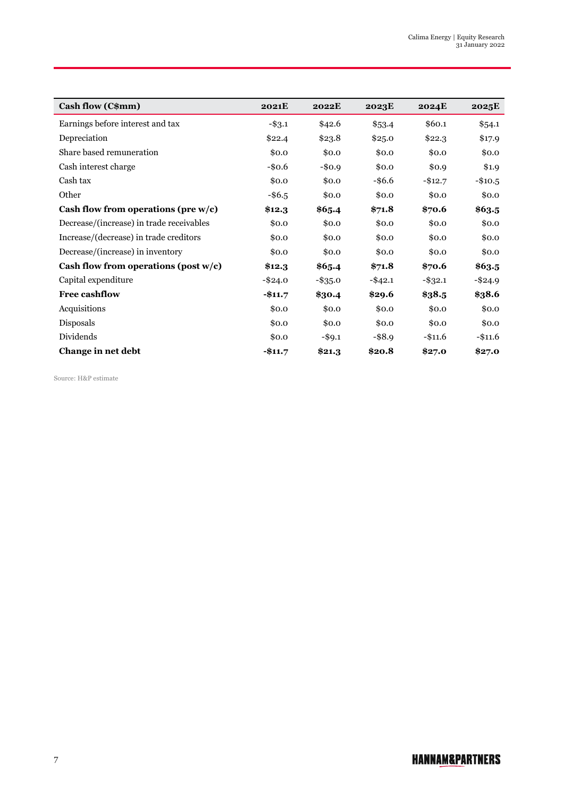| Cash flow (C\$mm)                        | <b>2021E</b> | 2022E      | 2023E      | <b>2024E</b> | 2025E      |
|------------------------------------------|--------------|------------|------------|--------------|------------|
| Earnings before interest and tax         | $-$ \$3.1    | \$42.6     | \$53.4     | \$60.1       | \$54.1     |
| Depreciation                             | \$22.4       | \$23.8     | \$25.0     | \$22.3       | \$17.9     |
| Share based remuneration                 | \$0.0        | \$0.0      | \$0.0      | \$0.0        | \$0.0      |
| Cash interest charge                     | $-$ \$0.6    | $-$0.9$    | \$0.0      | \$0.9        | \$1.9      |
| Cash tax                                 | \$0.0        | \$0.0      | $-$ \$6.6  | $-$12.7$     | $-$10.5$   |
| Other                                    | $-$ \$6.5    | \$0.0      | \$0.0      | \$0.0        | \$0.0      |
| Cash flow from operations (pre $w/c$ )   | \$12.3       | \$65.4     | \$71.8     | \$70.6       | \$63.5     |
| Decrease/(increase) in trade receivables | \$0.0        | \$0.0      | \$0.0      | \$0.0        | \$0.0      |
| Increase/(decrease) in trade creditors   | \$0.0        | \$0.0      | \$0.0      | \$0.0        | \$0.0      |
| Decrease/(increase) in inventory         | \$0.0        | \$0.0      | \$0.0      | \$0.0        | \$0.0      |
| Cash flow from operations (post $w/c$ )  | \$12.3       | \$65.4     | \$71.8     | \$70.6       | \$63.5     |
| Capital expenditure                      | $-$ \$24.0   | $-$ \$35.0 | $-$ \$42.1 | $-$ \$32.1   | $-$ \$24.9 |
| <b>Free cashflow</b>                     | $-$11.7$     | \$30.4     | \$29.6     | \$38.5       | \$38.6     |
| Acquisitions                             | \$0.0        | \$0.0      | \$0.0      | \$0.0        | \$0.0      |
| Disposals                                | \$0.0        | \$0.0      | \$0.0      | \$0.0        | \$0.0      |
| Dividends                                | \$0.0        | $-$ \$9.1  | $-$ \$8.9  | $-$11.6$     | $-$11.6$   |
| Change in net debt                       | $-$11.7$     | \$21.3     | \$20.8     | \$27.0       | \$27.0     |

Source: H&P estimate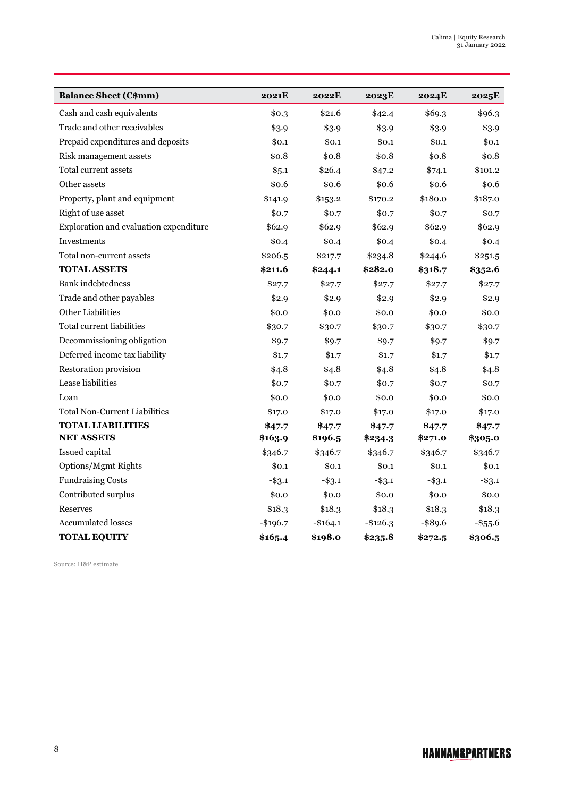| <b>Balance Sheet (C\$mm)</b>           | 2021E     | 2022E     | 2023E     | 2024E      | 2025E      |
|----------------------------------------|-----------|-----------|-----------|------------|------------|
| Cash and cash equivalents              | \$0.3     | \$21.6    | \$42.4    | \$69.3     | \$96.3     |
| Trade and other receivables            | \$3.9     | \$3.9     | \$3.9     | \$3.9      | \$3.9      |
| Prepaid expenditures and deposits      | \$0.1     | \$0.1     | \$0.1     | \$0.1      | \$0.1      |
| Risk management assets                 | \$0.8     | \$0.8     | \$0.8     | \$0.8      | \$0.8\$    |
| Total current assets                   | \$5.1     | \$26.4    | \$47.2    | \$74.1     | \$101.2    |
| Other assets                           | \$0.6     | \$0.6     | \$0.6     | \$0.6      | \$0.6      |
| Property, plant and equipment          | \$141.9   | \$153.2   | \$170.2   | \$180.0    | \$187.0    |
| Right of use asset                     | \$0.7     | \$0.7     | \$0.7     | \$0.7      | \$0.7      |
| Exploration and evaluation expenditure | \$62.9    | \$62.9    | \$62.9    | \$62.9     | \$62.9     |
| Investments                            | \$0.4     | \$0.4     | \$0.4     | \$0.4      | \$0.4      |
| Total non-current assets               | \$206.5   | \$217.7   | \$234.8   | \$244.6    | \$251.5    |
| <b>TOTAL ASSETS</b>                    | \$211.6   | \$244.1   | \$282.0   | \$318.7    | \$352.6    |
| <b>Bank</b> indebtedness               | \$27.7    | \$27.7    | \$27.7    | \$27.7     | \$27.7     |
| Trade and other payables               | \$2.9     | \$2.9     | \$2.9     | \$2.9      | \$2.9      |
| Other Liabilities                      | \$0.0     | \$0.0     | \$0.0     | \$0.0      | \$0.0      |
| <b>Total current liabilities</b>       | \$30.7    | \$30.7    | \$30.7    | \$30.7     | \$30.7     |
| Decommissioning obligation             | \$9.7     | \$9.7     | \$9.7     | \$9.7      | \$9.7      |
| Deferred income tax liability          | \$1.7     | \$1.7     | \$1.7     | \$1.7      | \$1.7      |
| Restoration provision                  | \$4.8     | \$4.8     | \$4.8     | \$4.8\$    | \$4.8      |
| Lease liabilities                      | \$0.7     | \$0.7     | \$0.7     | \$0.7      | \$0.7      |
| Loan                                   | \$0.0     | \$0.0     | \$0.0     | \$0.0      | \$0.0      |
| <b>Total Non-Current Liabilities</b>   | \$17.0    | \$17.0    | \$17.0    | \$17.0     | \$17.0     |
| <b>TOTAL LIABILITIES</b>               | \$47.7    | \$47.7    | \$47.7    | \$47.7     | \$47.7     |
| <b>NET ASSETS</b>                      | \$163.9   | \$196.5   | \$234.3   | \$271.0    | \$305.0    |
| Issued capital                         | \$346.7   | \$346.7   | \$346.7   | \$346.7    | \$346.7    |
| Options/Mgmt Rights                    | \$0.1     | \$0.1     | \$0.1     | \$0.1      | \$0.1      |
| <b>Fundraising Costs</b>               | $-$ \$3.1 | $-$ \$3.1 | $-$ \$3.1 | $-$ \$3.1  | $-$ \$3.1  |
| Contributed surplus                    | \$0.0     | \$0.0     | \$0.0     | \$0.0      | \$0.0      |
| <b>Reserves</b>                        | \$18.3    | \$18.3    | \$18.3    | \$18.3     | \$18.3     |
| <b>Accumulated losses</b>              | $-$196.7$ | $-$164.1$ | $-$126.3$ | $-$ \$89.6 | $-$ \$55.6 |
| <b>TOTAL EQUITY</b>                    | \$165.4   | \$198.0   | \$235.8   | \$272.5    | \$306.5    |

Source: H&P estimate